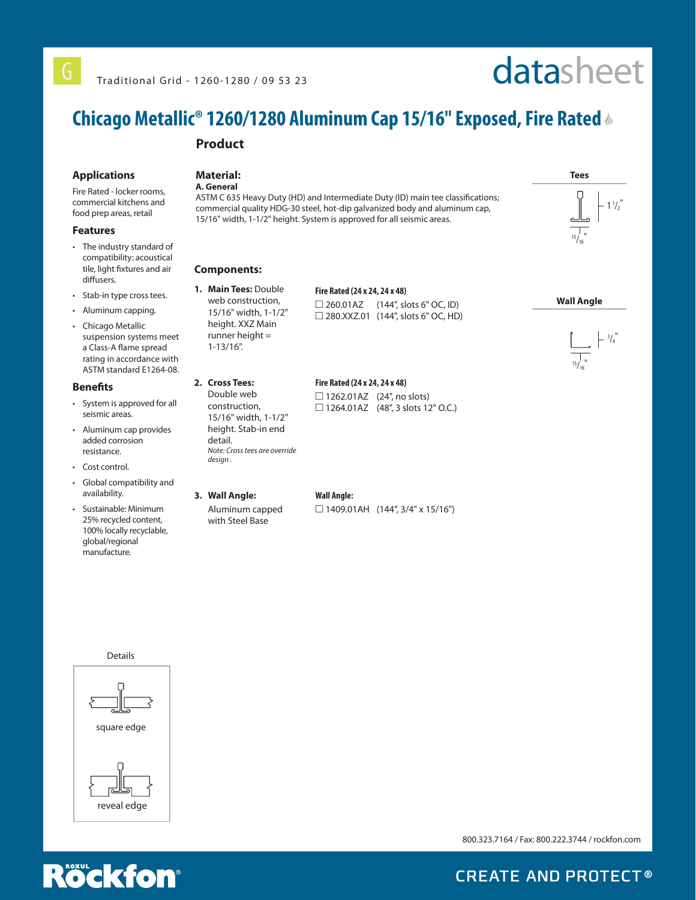#### *chicagometallic.com PRODUCT* **Chicago Metallic® 1260/1280 Aluminum Cap 15/16" Exposed, Fire Rated**

# **Product**

#### **Applications**

Fire Rated - locker rooms, commercial kitchens and food prep areas, retail

#### **Features**

- The industry standard of compatibility: acoustical tile, light fixtures and air diffusers.
- Stab-in type cross tees.
- Aluminum capping.
- Chicago Metallic suspension systems meet a Class-A flame spread rating in accordance with ASTM standard E1264-08.

#### **Benefits**

- System is approved for all seismic areas.
- Aluminum cap provides added corrosion resistance.
- Cost control.
- Global compatibility and availability.
- Sustainable: Minimum 25% recycled content, 100% locally recyclable, global/regional manufacture.

# **Material:**

**A. General**

ASTM C 635 Heavy Duty (HD) and Intermediate Duty (ID) main tee classifications; commercial quality HDG-30 steel, hot-dip galvanized body and aluminum cap, 15/16" width, 1-1/2" height. System is approved for all seismic areas.



**2. Cross Tees:** Double web construction, 15/16" width, 1-1/2" height. Stab-in end

detail.

*design .*

**1. Main Tees:** Double web construction, 15/16" width, 1-1/2" height. XXZ Main runner height = 1-13/16".

## **Fire Rated (24 x 24, 24 x 48)**  $\Box$  260.01AZ (144', slots 6" OC, ID)

□ 280.XXZ.01 (144", slots 6" OC, HD)

### **Fire Rated (24 x 24, 24 x 48)**

 $\Box$  1262.01AZ (24", no slots) □ 1264.01AZ (48", 3 slots 12" O.C.)

**Wall Angle:**

 $\Box$  1409.01AH (144", 3/4" x 15/16")

**Tees**   $1\frac{1}{2}$  $15/16$ "

datasheet

### **Wall Angle**





Details



800.323.7164 / Fax: 800.222.3744 / rockfon.com



**CREATE AND PROTECT®** 

**3. Wall Angle:**  Aluminum capped

with Steel Base

*Note: Cross tees are override*